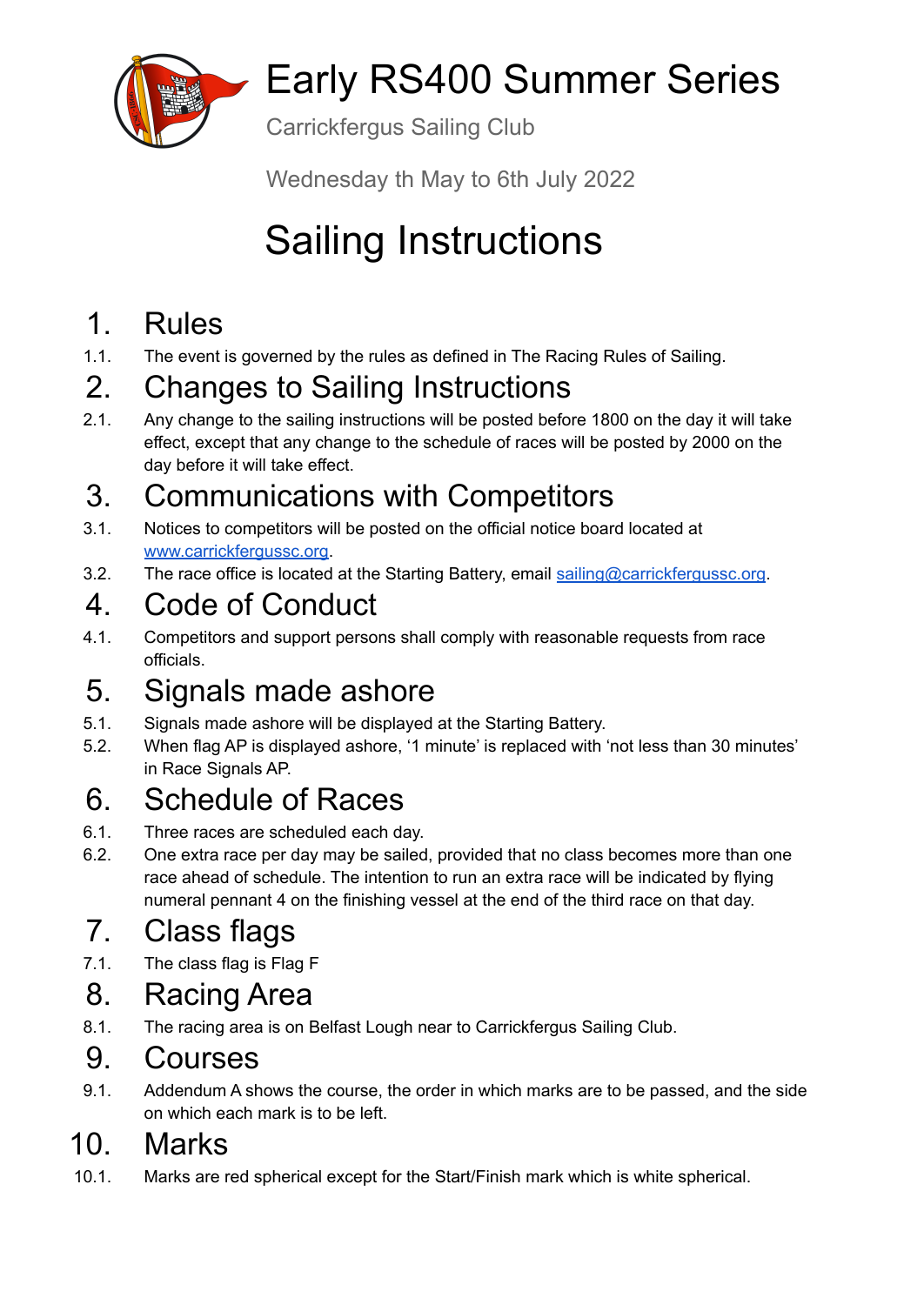

# Early RS400 Summer Series

Carrickfergus Sailing Club

Wednesday th May to 6th July 2022

# Sailing Instructions

## 1. Rules

1.1. The event is governed by the rules as defined in The Racing Rules of Sailing.

## 2. Changes to Sailing Instructions

2.1. Any change to the sailing instructions will be posted before 1800 on the day it will take effect, except that any change to the schedule of races will be posted by 2000 on the day before it will take effect.

## 3. Communications with Competitors

- 3.1. Notices to competitors will be posted on the official notice board located at [www.carrickfergussc.org](http://www.carrickfergussc.org).
- 3.2. The race office is located at the Starting Battery, email [sailing@carrickfergussc.org](mailto:sailing@carrickfergussc.org).

## 4. Code of Conduct

4.1. Competitors and support persons shall comply with reasonable requests from race officials.

## 5. Signals made ashore

- 5.1. Signals made ashore will be displayed at the Starting Battery.
- 5.2. When flag AP is displayed ashore, '1 minute' is replaced with 'not less than 30 minutes' in Race Signals AP.

## 6. Schedule of Races

- 6.1. Three races are scheduled each day.
- 6.2. One extra race per day may be sailed, provided that no class becomes more than one race ahead of schedule. The intention to run an extra race will be indicated by flying numeral pennant 4 on the finishing vessel at the end of the third race on that day.

## 7. Class flags

7.1. The class flag is Flag F

#### 8. Racing Area

8.1. The racing area is on Belfast Lough near to Carrickfergus Sailing Club.

#### 9. Courses

9.1. Addendum A shows the course, the order in which marks are to be passed, and the side on which each mark is to be left.

#### 10. Marks

10.1. Marks are red spherical except for the Start/Finish mark which is white spherical.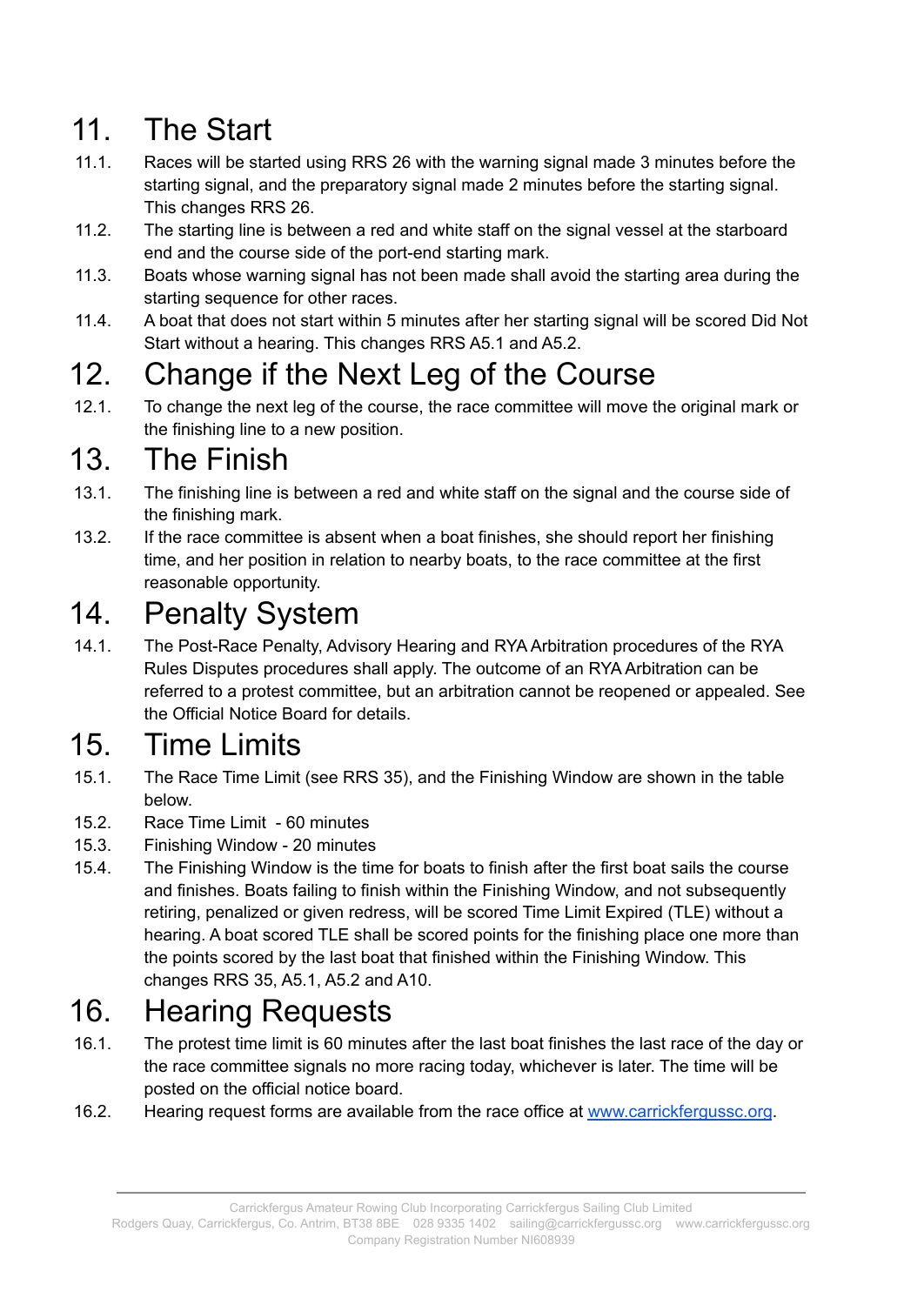## 11. The Start

- 11.1. Races will be started using RRS 26 with the warning signal made 3 minutes before the starting signal, and the preparatory signal made 2 minutes before the starting signal. This changes RRS 26.
- 11.2. The starting line is between a red and white staff on the signal vessel at the starboard end and the course side of the port-end starting mark.
- 11.3. Boats whose warning signal has not been made shall avoid the starting area during the starting sequence for other races.
- 11.4. A boat that does not start within 5 minutes after her starting signal will be scored Did Not Start without a hearing. This changes RRS A5.1 and A5.2.

## 12. Change if the Next Leg of the Course

12.1. To change the next leg of the course, the race committee will move the original mark or the finishing line to a new position.

#### 13. The Finish

- 13.1. The finishing line is between a red and white staff on the signal and the course side of the finishing mark.
- 13.2. If the race committee is absent when a boat finishes, she should report her finishing time, and her position in relation to nearby boats, to the race committee at the first reasonable opportunity.

#### 14. Penalty System

14.1. The Post-Race Penalty, Advisory Hearing and RYA Arbitration procedures of the RYA Rules Disputes procedures shall apply. The outcome of an RYA Arbitration can be referred to a protest committee, but an arbitration cannot be reopened or appealed. See the Official Notice Board for details.

## 15. Time Limits

- 15.1. The Race Time Limit (see RRS 35), and the Finishing Window are shown in the table below.
- 15.2. Race Time Limit 60 minutes
- 15.3. Finishing Window 20 minutes
- 15.4. The Finishing Window is the time for boats to finish after the first boat sails the course and finishes. Boats failing to finish within the Finishing Window, and not subsequently retiring, penalized or given redress, will be scored Time Limit Expired (TLE) without a hearing. A boat scored TLE shall be scored points for the finishing place one more than the points scored by the last boat that finished within the Finishing Window. This changes RRS 35, A5.1, A5.2 and A10.

### 16. Hearing Requests

- 16.1. The protest time limit is 60 minutes after the last boat finishes the last race of the day or the race committee signals no more racing today, whichever is later. The time will be posted on the official notice board.
- 16.2. Hearing request forms are available from the race office at [www.carrickfergussc.org](http://www.carrickfergussc.org).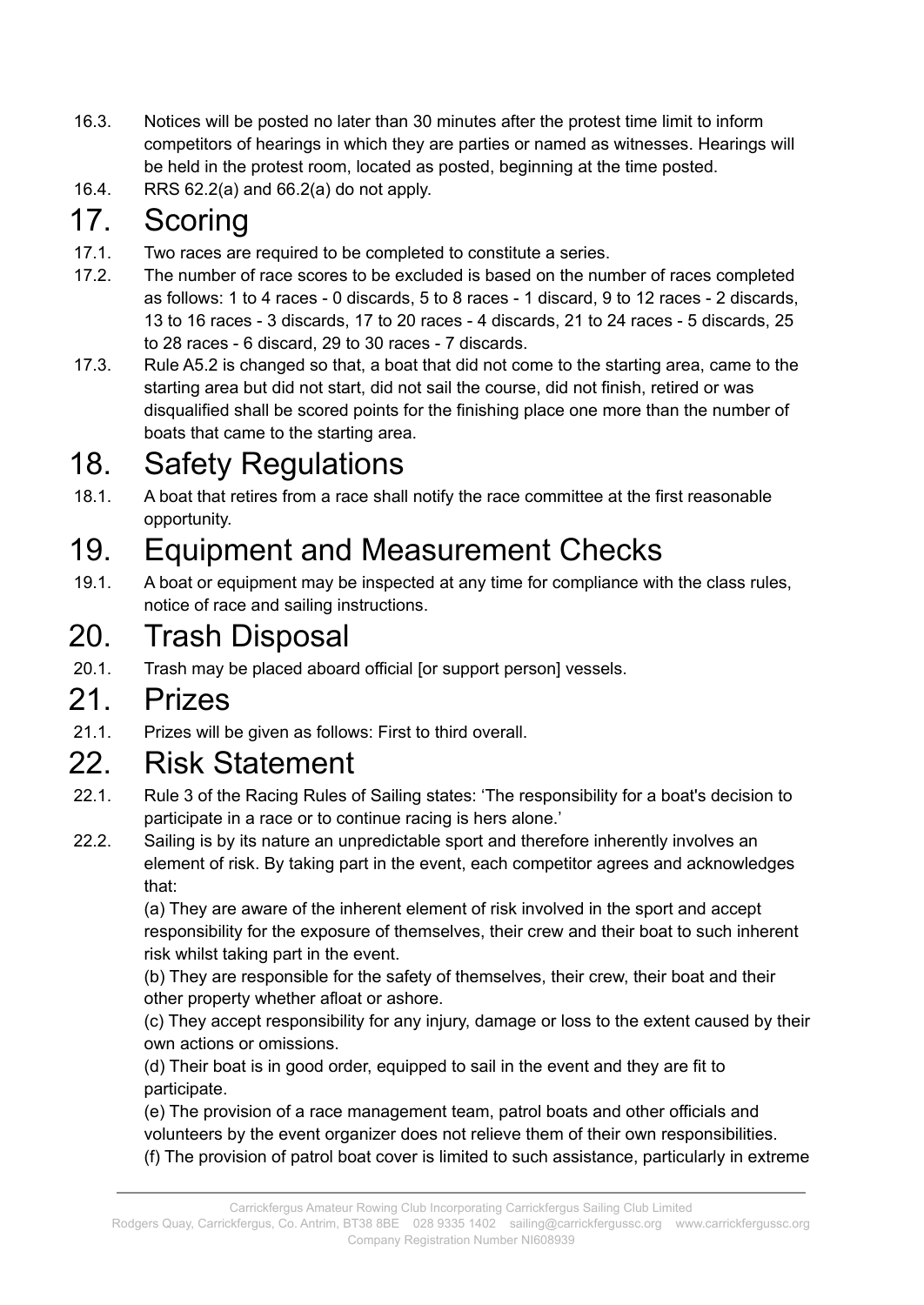- 16.3. Notices will be posted no later than 30 minutes after the protest time limit to inform competitors of hearings in which they are parties or named as witnesses. Hearings will be held in the protest room, located as posted, beginning at the time posted.
- 16.4. RRS 62.2(a) and 66.2(a) do not apply.

#### 17. Scoring

- 17.1. Two races are required to be completed to constitute a series.
- 17.2. The number of race scores to be excluded is based on the number of races completed as follows: 1 to 4 races - 0 discards, 5 to 8 races - 1 discard, 9 to 12 races - 2 discards, 13 to 16 races - 3 discards, 17 to 20 races - 4 discards, 21 to 24 races - 5 discards, 25 to 28 races - 6 discard, 29 to 30 races - 7 discards.
- 17.3. Rule A5.2 is changed so that, a boat that did not come to the starting area, came to the starting area but did not start, did not sail the course, did not finish, retired or was disqualified shall be scored points for the finishing place one more than the number of boats that came to the starting area.

#### 18. Safety Regulations

18.1. A boat that retires from a race shall notify the race committee at the first reasonable opportunity.

#### 19. Equipment and Measurement Checks

19.1. A boat or equipment may be inspected at any time for compliance with the class rules, notice of race and sailing instructions.

#### 20. Trash Disposal

20.1. Trash may be placed aboard official [or support person] vessels.

#### 21. Prizes

21.1. Prizes will be given as follows: First to third overall.

#### 22. Risk Statement

- 22.1. Rule 3 of the Racing Rules of Sailing states: 'The responsibility for a boat's decision to participate in a race or to continue racing is hers alone.'
- 22.2. Sailing is by its nature an unpredictable sport and therefore inherently involves an element of risk. By taking part in the event, each competitor agrees and acknowledges that:

(a) They are aware of the inherent element of risk involved in the sport and accept responsibility for the exposure of themselves, their crew and their boat to such inherent risk whilst taking part in the event.

(b) They are responsible for the safety of themselves, their crew, their boat and their other property whether afloat or ashore.

(c) They accept responsibility for any injury, damage or loss to the extent caused by their own actions or omissions.

(d) Their boat is in good order, equipped to sail in the event and they are fit to participate.

(e) The provision of a race management team, patrol boats and other officials and volunteers by the event organizer does not relieve them of their own responsibilities. (f) The provision of patrol boat cover is limited to such assistance, particularly in extreme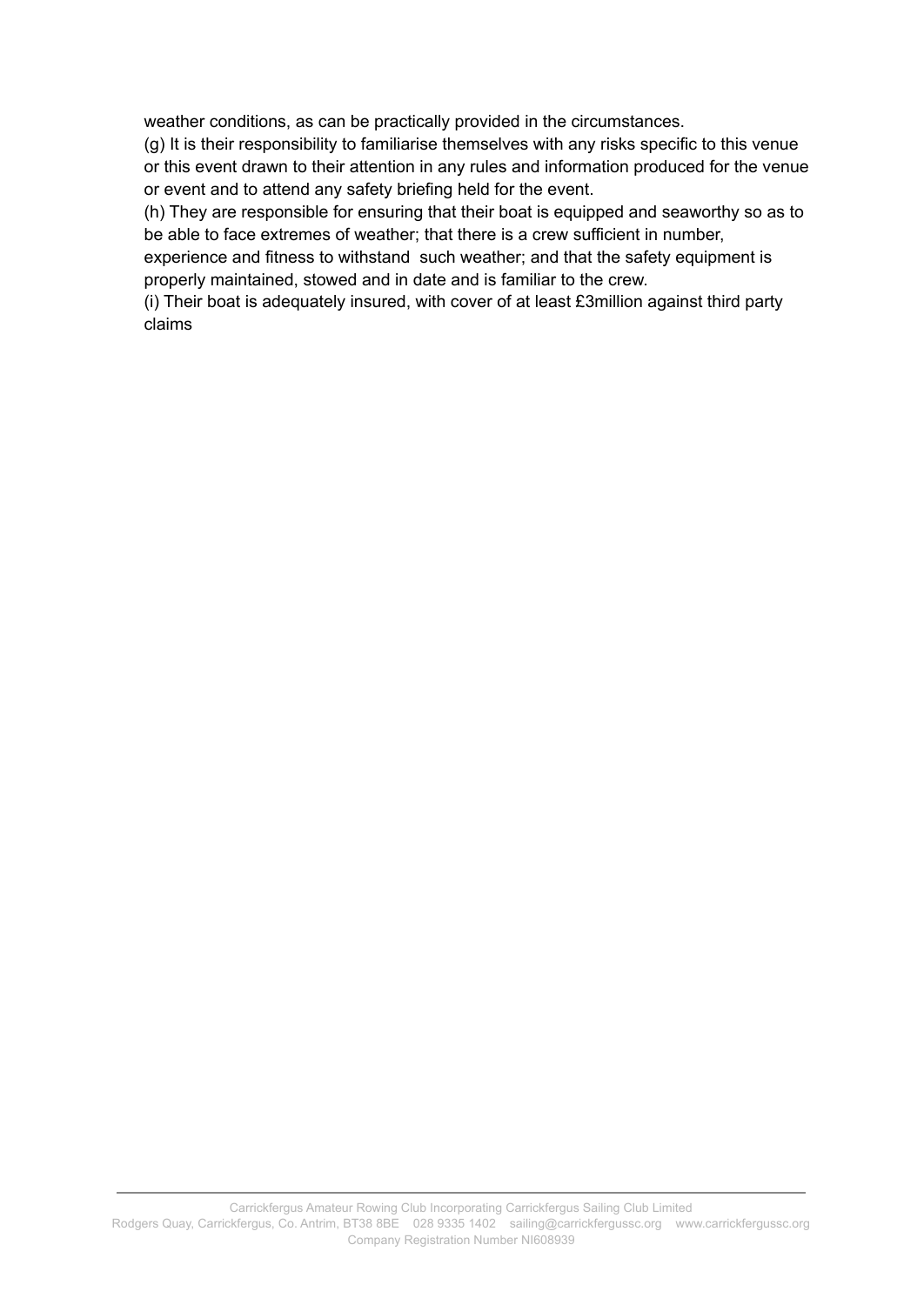weather conditions, as can be practically provided in the circumstances.

(g) It is their responsibility to familiarise themselves with any risks specific to this venue or this event drawn to their attention in any rules and information produced for the venue or event and to attend any safety briefing held for the event.

(h) They are responsible for ensuring that their boat is equipped and seaworthy so as to be able to face extremes of weather; that there is a crew sufficient in number,

experience and fitness to withstand such weather; and that the safety equipment is properly maintained, stowed and in date and is familiar to the crew.

(i) Their boat is adequately insured, with cover of at least £3million against third party claims